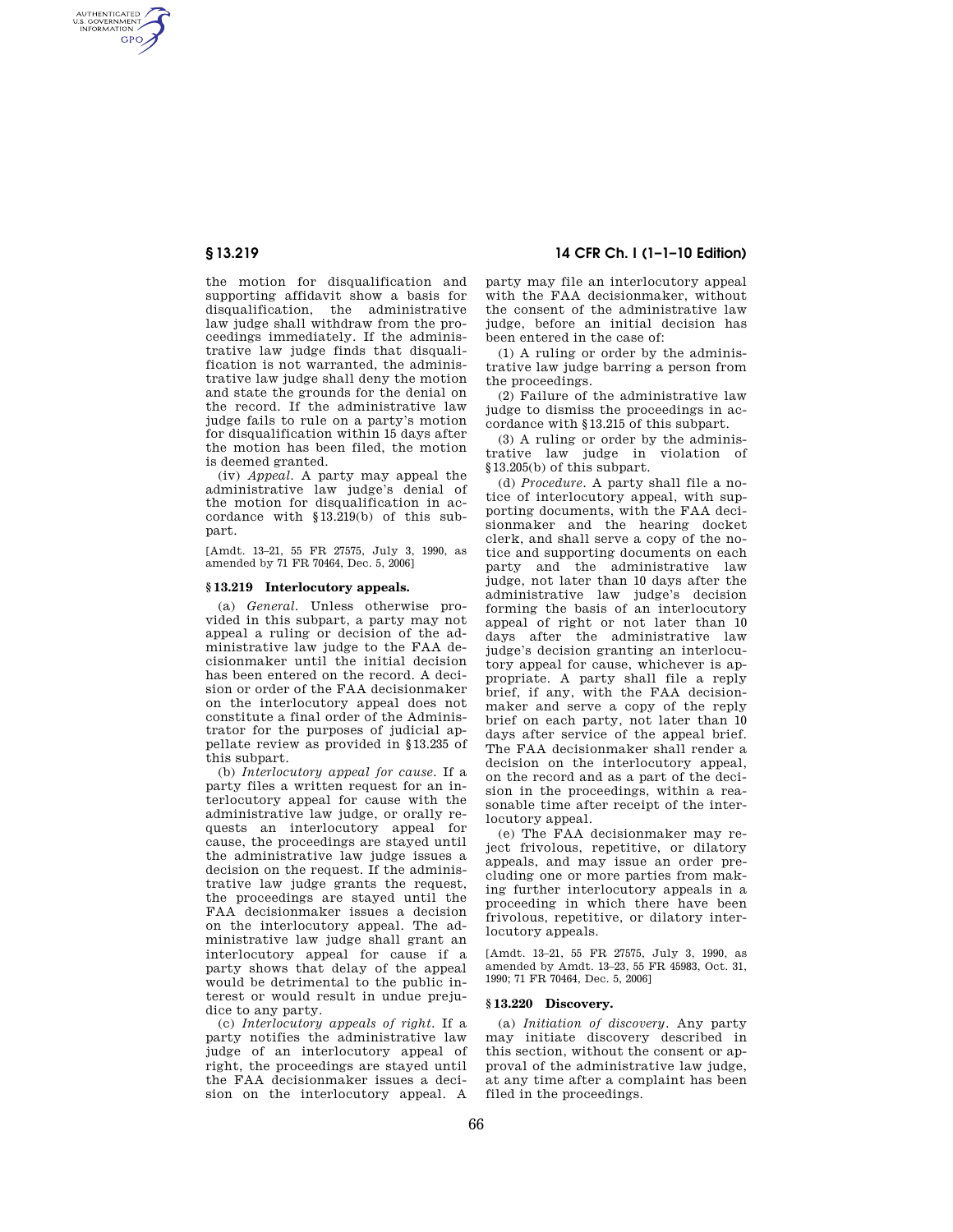AUTHENTICATED<br>U.S. GOVERNMENT<br>INFORMATION **GPO** 

> the motion for disqualification and supporting affidavit show a basis for disqualification, the administrative law judge shall withdraw from the proceedings immediately. If the administrative law judge finds that disqualification is not warranted, the administrative law judge shall deny the motion and state the grounds for the denial on the record. If the administrative law judge fails to rule on a party's motion for disqualification within 15 days after the motion has been filed, the motion is deemed granted.

(iv) *Appeal.* A party may appeal the administrative law judge's denial of the motion for disqualification in accordance with §13.219(b) of this subpart.

[Amdt. 13–21, 55 FR 27575, July 3, 1990, as amended by 71 FR 70464, Dec. 5, 2006]

### **§ 13.219 Interlocutory appeals.**

(a) *General.* Unless otherwise provided in this subpart, a party may not appeal a ruling or decision of the administrative law judge to the FAA decisionmaker until the initial decision has been entered on the record. A decision or order of the FAA decisionmaker on the interlocutory appeal does not constitute a final order of the Administrator for the purposes of judicial appellate review as provided in §13.235 of this subpart.

(b) *Interlocutory appeal for cause.* If a party files a written request for an interlocutory appeal for cause with the administrative law judge, or orally requests an interlocutory appeal for cause, the proceedings are stayed until the administrative law judge issues a decision on the request. If the administrative law judge grants the request, the proceedings are stayed until the FAA decisionmaker issues a decision on the interlocutory appeal. The administrative law judge shall grant an interlocutory appeal for cause if a party shows that delay of the appeal would be detrimental to the public interest or would result in undue prejudice to any party.

(c) *Interlocutory appeals of right.* If a party notifies the administrative law judge of an interlocutory appeal of right, the proceedings are stayed until the FAA decisionmaker issues a decision on the interlocutory appeal. A

**§ 13.219 14 CFR Ch. I (1–1–10 Edition)** 

party may file an interlocutory appeal with the FAA decisionmaker, without the consent of the administrative law judge, before an initial decision has been entered in the case of:

(1) A ruling or order by the administrative law judge barring a person from the proceedings.

(2) Failure of the administrative law judge to dismiss the proceedings in accordance with §13.215 of this subpart.

(3) A ruling or order by the administrative law judge in violation of §13.205(b) of this subpart.

(d) *Procedure.* A party shall file a notice of interlocutory appeal, with supporting documents, with the FAA decisionmaker and the hearing docket clerk, and shall serve a copy of the notice and supporting documents on each party and the administrative law judge, not later than 10 days after the administrative law judge's decision forming the basis of an interlocutory appeal of right or not later than 10 days after the administrative law judge's decision granting an interlocutory appeal for cause, whichever is appropriate. A party shall file a reply brief, if any, with the FAA decisionmaker and serve a copy of the reply brief on each party, not later than 10 days after service of the appeal brief. The FAA decisionmaker shall render a decision on the interlocutory appeal, on the record and as a part of the decision in the proceedings, within a reasonable time after receipt of the interlocutory appeal.

(e) The FAA decisionmaker may reject frivolous, repetitive, or dilatory appeals, and may issue an order precluding one or more parties from making further interlocutory appeals in a proceeding in which there have been frivolous, repetitive, or dilatory interlocutory appeals.

[Amdt. 13–21, 55 FR 27575, July 3, 1990, as amended by Amdt. 13–23, 55 FR 45983, Oct. 31, 1990; 71 FR 70464, Dec. 5, 2006]

#### **§ 13.220 Discovery.**

(a) *Initiation of discovery.* Any party may initiate discovery described in this section, without the consent or approval of the administrative law judge, at any time after a complaint has been filed in the proceedings.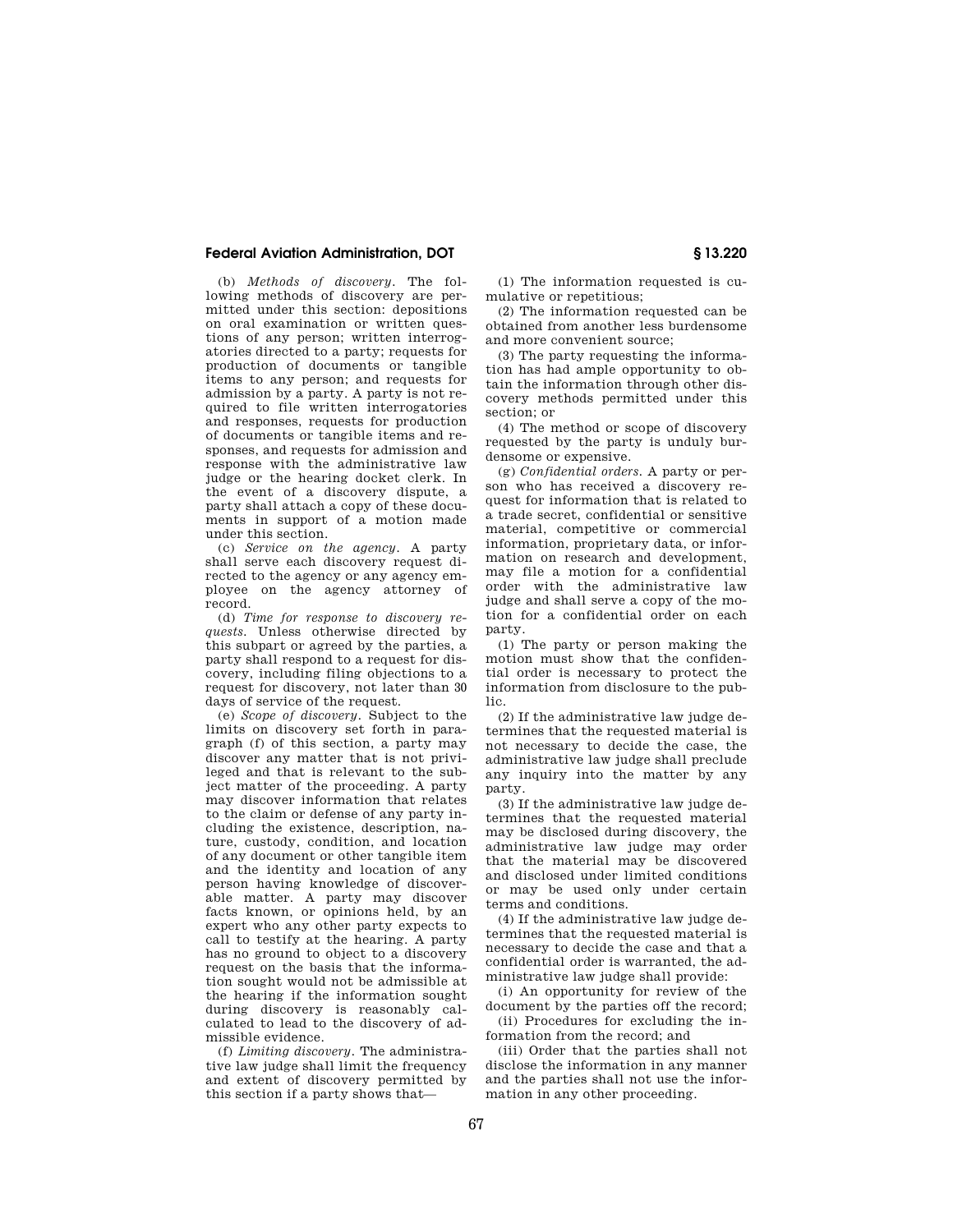# **Federal Aviation Administration, DOT § 13.220**

(b) *Methods of discovery.* The following methods of discovery are permitted under this section: depositions on oral examination or written questions of any person; written interrogatories directed to a party; requests for production of documents or tangible items to any person; and requests for admission by a party. A party is not required to file written interrogatories and responses, requests for production of documents or tangible items and responses, and requests for admission and response with the administrative law judge or the hearing docket clerk. In the event of a discovery dispute, a party shall attach a copy of these documents in support of a motion made under this section.

(c) *Service on the agency.* A party shall serve each discovery request directed to the agency or any agency employee on the agency attorney of record.

(d) *Time for response to discovery requests.* Unless otherwise directed by this subpart or agreed by the parties, a party shall respond to a request for discovery, including filing objections to a request for discovery, not later than 30 days of service of the request.

(e) *Scope of discovery.* Subject to the limits on discovery set forth in paragraph (f) of this section, a party may discover any matter that is not privileged and that is relevant to the subject matter of the proceeding. A party may discover information that relates to the claim or defense of any party including the existence, description, nature, custody, condition, and location of any document or other tangible item and the identity and location of any person having knowledge of discoverable matter. A party may discover facts known, or opinions held, by an expert who any other party expects to call to testify at the hearing. A party has no ground to object to a discovery request on the basis that the information sought would not be admissible at the hearing if the information sought during discovery is reasonably calculated to lead to the discovery of admissible evidence.

(f) *Limiting discovery.* The administrative law judge shall limit the frequency and extent of discovery permitted by this section if a party shows that—

(1) The information requested is cumulative or repetitious;

(2) The information requested can be obtained from another less burdensome and more convenient source;

(3) The party requesting the information has had ample opportunity to obtain the information through other discovery methods permitted under this section; or

(4) The method or scope of discovery requested by the party is unduly burdensome or expensive.

(g) *Confidential orders.* A party or person who has received a discovery request for information that is related to a trade secret, confidential or sensitive material, competitive or commercial information, proprietary data, or information on research and development, may file a motion for a confidential order with the administrative law judge and shall serve a copy of the motion for a confidential order on each party.

(1) The party or person making the motion must show that the confidential order is necessary to protect the information from disclosure to the public.

(2) If the administrative law judge determines that the requested material is not necessary to decide the case, the administrative law judge shall preclude any inquiry into the matter by any party.

(3) If the administrative law judge determines that the requested material may be disclosed during discovery, the administrative law judge may order that the material may be discovered and disclosed under limited conditions or may be used only under certain terms and conditions.

(4) If the administrative law judge determines that the requested material is necessary to decide the case and that a confidential order is warranted, the administrative law judge shall provide:

(i) An opportunity for review of the document by the parties off the record;

(ii) Procedures for excluding the information from the record; and

(iii) Order that the parties shall not disclose the information in any manner and the parties shall not use the information in any other proceeding.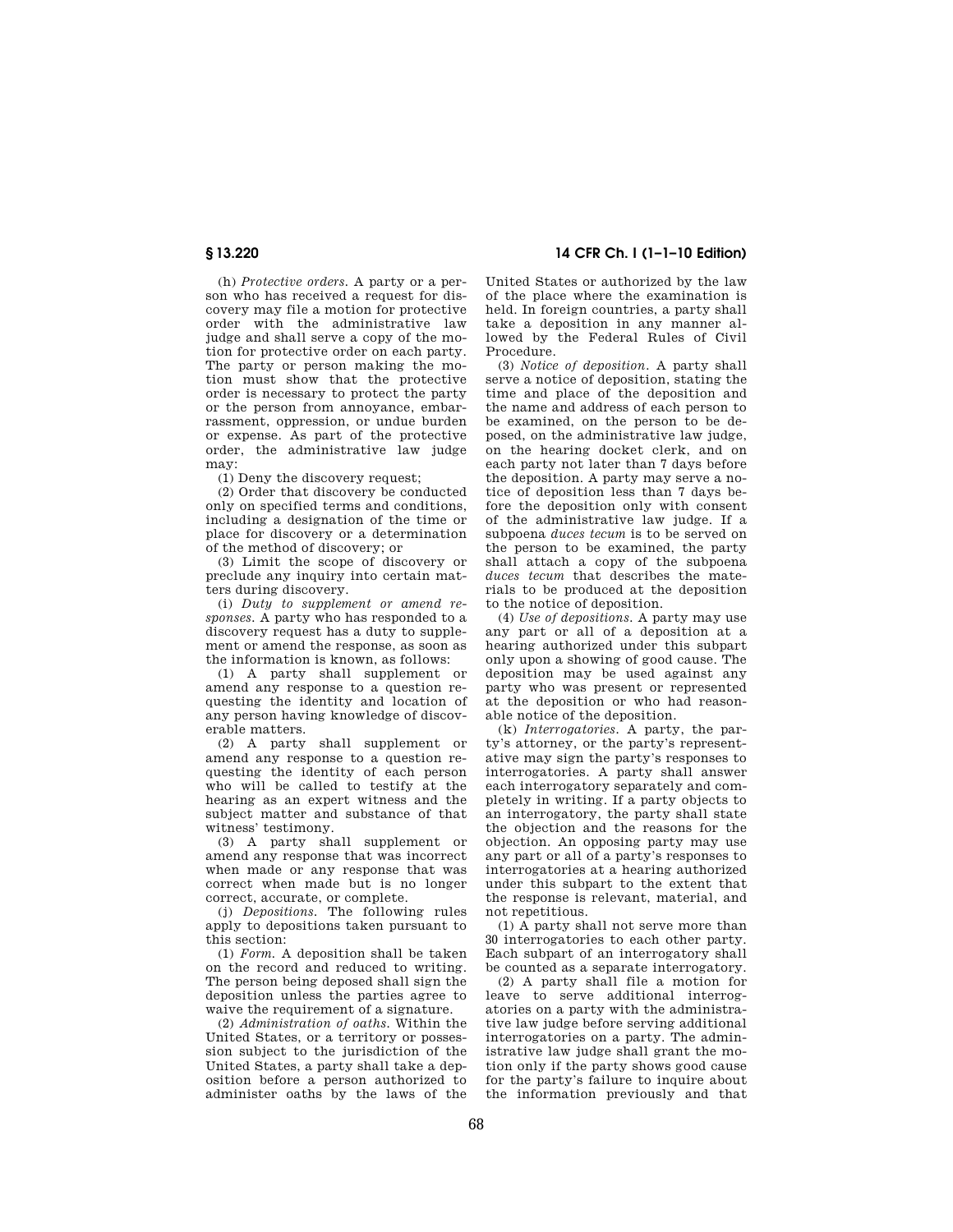(h) *Protective orders.* A party or a person who has received a request for discovery may file a motion for protective order with the administrative law judge and shall serve a copy of the motion for protective order on each party. The party or person making the motion must show that the protective order is necessary to protect the party or the person from annoyance, embarrassment, oppression, or undue burden or expense. As part of the protective order, the administrative law judge may:

 $(1)$  Deny the discovery request;

(2) Order that discovery be conducted only on specified terms and conditions, including a designation of the time or place for discovery or a determination of the method of discovery; or

(3) Limit the scope of discovery or preclude any inquiry into certain matters during discovery.

(i) *Duty to supplement or amend responses.* A party who has responded to a discovery request has a duty to supplement or amend the response, as soon as the information is known, as follows:

(1) A party shall supplement or amend any response to a question requesting the identity and location of any person having knowledge of discoverable matters.

(2) A party shall supplement or amend any response to a question requesting the identity of each person who will be called to testify at the hearing as an expert witness and the subject matter and substance of that witness' testimony.

(3) A party shall supplement or amend any response that was incorrect when made or any response that was correct when made but is no longer correct, accurate, or complete.

(j) *Depositions.* The following rules apply to depositions taken pursuant to this section:

(1) *Form.* A deposition shall be taken on the record and reduced to writing. The person being deposed shall sign the deposition unless the parties agree to waive the requirement of a signature.

(2) *Administration of oaths.* Within the United States, or a territory or possession subject to the jurisdiction of the United States, a party shall take a deposition before a person authorized to administer oaths by the laws of the

**§ 13.220 14 CFR Ch. I (1–1–10 Edition)** 

United States or authorized by the law of the place where the examination is held. In foreign countries, a party shall take a deposition in any manner allowed by the Federal Rules of Civil Procedure.

(3) *Notice of deposition.* A party shall serve a notice of deposition, stating the time and place of the deposition and the name and address of each person to be examined, on the person to be deposed, on the administrative law judge, on the hearing docket clerk, and on each party not later than 7 days before the deposition. A party may serve a notice of deposition less than 7 days before the deposition only with consent of the administrative law judge. If a subpoena *duces tecum* is to be served on the person to be examined, the party shall attach a copy of the subpoena *duces tecum* that describes the materials to be produced at the deposition to the notice of deposition.

(4) *Use of depositions.* A party may use any part or all of a deposition at a hearing authorized under this subpart only upon a showing of good cause. The deposition may be used against any party who was present or represented at the deposition or who had reasonable notice of the deposition.

(k) *Interrogatories.* A party, the party's attorney, or the party's representative may sign the party's responses to interrogatories. A party shall answer each interrogatory separately and completely in writing. If a party objects to an interrogatory, the party shall state the objection and the reasons for the objection. An opposing party may use any part or all of a party's responses to interrogatories at a hearing authorized under this subpart to the extent that the response is relevant, material, and not repetitious.

(1) A party shall not serve more than 30 interrogatories to each other party. Each subpart of an interrogatory shall be counted as a separate interrogatory.

(2) A party shall file a motion for leave to serve additional interrogatories on a party with the administrative law judge before serving additional interrogatories on a party. The administrative law judge shall grant the motion only if the party shows good cause for the party's failure to inquire about the information previously and that